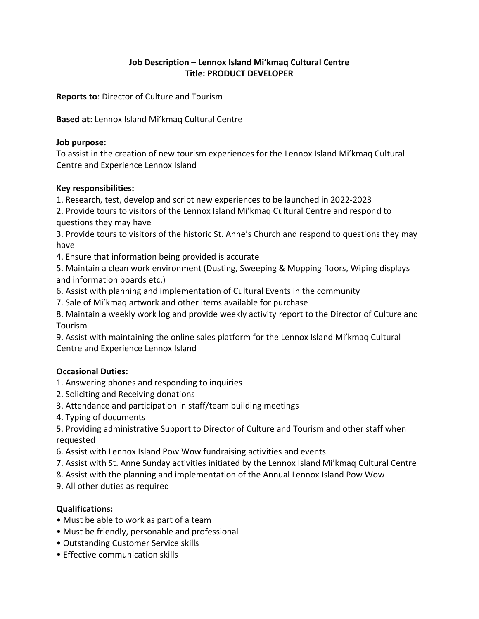# **Job Description – Lennox Island Mi'kmaq Cultural Centre Title: PRODUCT DEVELOPER**

**Reports to**: Director of Culture and Tourism

**Based at**: Lennox Island Mi'kmaq Cultural Centre

### **Job purpose:**

To assist in the creation of new tourism experiences for the Lennox Island Mi'kmaq Cultural Centre and Experience Lennox Island

### **Key responsibilities:**

1. Research, test, develop and script new experiences to be launched in 2022-2023

2. Provide tours to visitors of the Lennox Island Mi'kmaq Cultural Centre and respond to questions they may have

3. Provide tours to visitors of the historic St. Anne's Church and respond to questions they may have

4. Ensure that information being provided is accurate

5. Maintain a clean work environment (Dusting, Sweeping & Mopping floors, Wiping displays and information boards etc.)

- 6. Assist with planning and implementation of Cultural Events in the community
- 7. Sale of Mi'kmaq artwork and other items available for purchase

8. Maintain a weekly work log and provide weekly activity report to the Director of Culture and Tourism

9. Assist with maintaining the online sales platform for the Lennox Island Mi'kmaq Cultural Centre and Experience Lennox Island

## **Occasional Duties:**

- 1. Answering phones and responding to inquiries
- 2. Soliciting and Receiving donations
- 3. Attendance and participation in staff/team building meetings
- 4. Typing of documents
- 5. Providing administrative Support to Director of Culture and Tourism and other staff when requested
- 6. Assist with Lennox Island Pow Wow fundraising activities and events
- 7. Assist with St. Anne Sunday activities initiated by the Lennox Island Mi'kmaq Cultural Centre
- 8. Assist with the planning and implementation of the Annual Lennox Island Pow Wow
- 9. All other duties as required

## **Qualifications:**

- Must be able to work as part of a team
- Must be friendly, personable and professional
- Outstanding Customer Service skills
- Effective communication skills